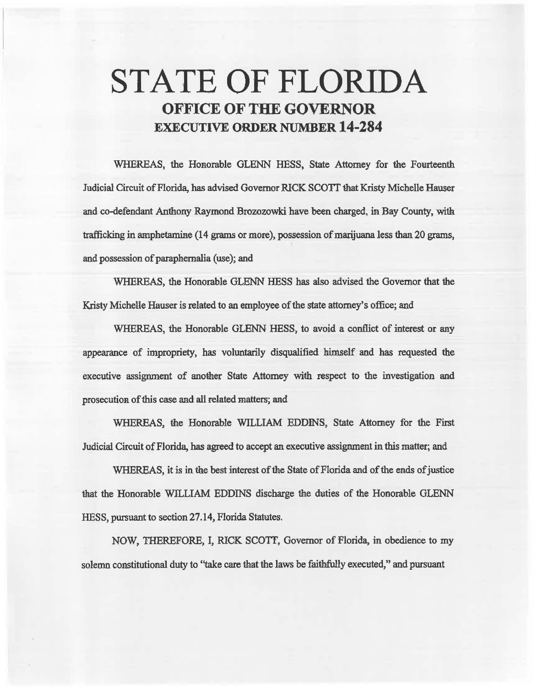# STATE OF FLORIDA **OFFICE OF THE GOVERNOR**  EXECUTIVE **ORDER** NUMBER **14-284**

WHEREAS, the Honorable GLENN HESS, State Attorney for the Fourteenth Judicial Circuit of Florida, has advised Governor RICK SCOTT that Kristy Michelle Hauser and co-defendant Anthony Raymond Brozozowki have been charged, in Bay County, with trafficking in amphetamine (14 *grams* or more), possession. of marijuana less than 20 grams, and possession of paraphernalia (use); and

WHEREAS, the Honorable GLENN HESS has also advised the Govemor that the Kristy Michelle Hauser is related to an employee of the state attorney's office; and

WHEREAS, the Honorable GLENN HESS, to avoid a conflict of interest or any appearance of impropriety, has voluntarily disqualified himself and has requested the executive assignment of another State Attorney with respect to the investigation and prosecution. of this case md all related matters; and

WHEREAS, the Honorable WILLIAM EDDINS, State Attorney for the First Judicial Circuit of Florida, has agreed to accept an executive assignment in this matter; and

WHEREAS, it is in the best interest of the State of Florida and of the ends of justice that the Honorable WILLIAM EDDINS discharge the duties of the Honorable GLENN HESS, pursuant to section 27 .14, Florida Statutes.

NOW, THEREFORE, I, RICK SCOTT, Governor of Florida, in. obedience to my solemn constitutional duty to "take care that the laws be faithfully executed," and pursuant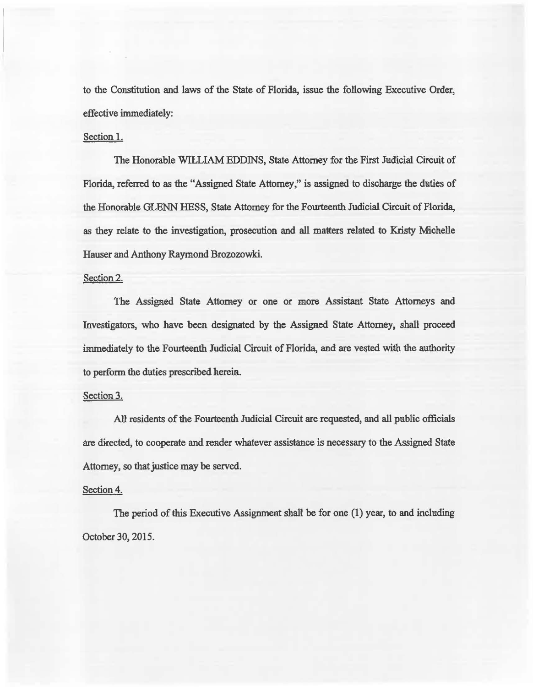to the Constitution and laws of the State of Florida, issue the following Executive Order, effective immediately:

### Section I.

The Honorable WILLIAM EDDINS, State Attorney for the First Judicial Circuit of Florida, referred to as the "Assigned State Attorney," is assigned to discharge the duties of the Honorable GLENN HESS, State Attorney for the Fourteenth Judicial Circuit of Florida, as they relate to the investigation, prosecution and all matters related to Kristy Michelie Hauser and Anthony Raymond Brozozowki.

### Section 2.

The Assigned State Attorney or one or more Assistant State Attorneys and Investigators, who have been designated by the Assigned State Attorney, shall proceed immediately to the Fourteenth Judicial Circuit of Florida, and are vested with the authority to perform the duties prescribed herein.

## Section 3.

All residents of the Fourteenth Judicial Circuit are requested, and all public officials are directed, to cooperate and render whatever assistaace is necessary to the Assigned State Attorney, so that justice may be served.

#### Section 4.

The period of this Executive Assignment shall be for one  $(1)$  year, to and including October 30, 2015.